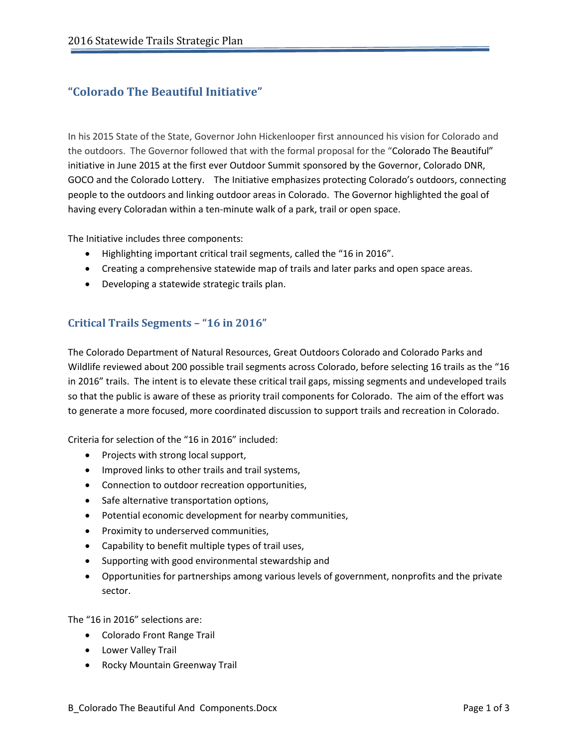# **"Colorado The Beautiful Initiative"**

In his 2015 State of the State, Governor John Hickenlooper first announced his vision for Colorado and the outdoors. The Governor followed that with the formal proposal for the "Colorado The Beautiful" initiative in June 2015 at the first ever Outdoor Summit sponsored by the Governor, Colorado DNR, GOCO and the Colorado Lottery. The Initiative emphasizes protecting Colorado's outdoors, connecting people to the outdoors and linking outdoor areas in Colorado. The Governor highlighted the goal of having every Coloradan within a ten-minute walk of a park, trail or open space.

The Initiative includes three components:

- Highlighting important critical trail segments, called the "16 in 2016".
- Creating a comprehensive statewide map of trails and later parks and open space areas.
- Developing a statewide strategic trails plan.

### **Critical Trails Segments – "16 in 2016"**

The Colorado Department of Natural Resources, Great Outdoors Colorado and Colorado Parks and Wildlife reviewed about 200 possible trail segments across Colorado, before selecting 16 trails as the "16 in 2016" trails. The intent is to elevate these critical trail gaps, missing segments and undeveloped trails so that the public is aware of these as priority trail components for Colorado. The aim of the effort was to generate a more focused, more coordinated discussion to support trails and recreation in Colorado.

Criteria for selection of the "16 in 2016" included:

- Projects with strong local support,
- Improved links to other trails and trail systems,
- Connection to outdoor recreation opportunities,
- Safe alternative transportation options,
- Potential economic development for nearby communities,
- Proximity to underserved communities,
- Capability to benefit multiple types of trail uses,
- Supporting with good environmental stewardship and
- Opportunities for partnerships among various levels of government, nonprofits and the private sector.

The "16 in 2016" selections are:

- Colorado Front Range Trail
- Lower Valley Trail
- Rocky Mountain Greenway Trail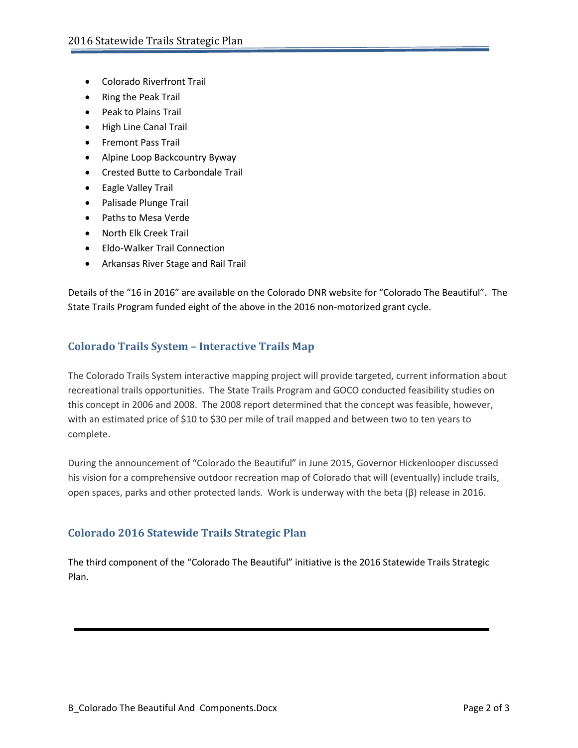- Colorado Riverfront Trail
- Ring the Peak Trail
- Peak to Plains Trail
- High Line Canal Trail
- Fremont Pass Trail
- Alpine Loop Backcountry Byway
- Crested Butte to Carbondale Trail
- Eagle Valley Trail
- Palisade Plunge Trail
- Paths to Mesa Verde
- North Elk Creek Trail
- Eldo-Walker Trail Connection
- Arkansas River Stage and Rail Trail

Details of the "16 in 2016" are available on the Colorado DNR website for "Colorado The Beautiful". The State Trails Program funded eight of the above in the 2016 non-motorized grant cycle.

## **Colorado Trails System – Interactive Trails Map**

The Colorado Trails System interactive mapping project will provide targeted, current information about recreational trails opportunities. The State Trails Program and GOCO conducted feasibility studies on this concept in 2006 and 2008. The 2008 report determined that the concept was feasible, however, with an estimated price of \$10 to \$30 per mile of trail mapped and between two to ten years to complete.

During the announcement of "Colorado the Beautiful" in June 2015, Governor Hickenlooper discussed his vision for a comprehensive outdoor recreation map of Colorado that will (eventually) include trails, open spaces, parks and other protected lands. Work is underway with the beta (β) release in 2016.

### **Colorado 2016 Statewide Trails Strategic Plan**

The third component of the "Colorado The Beautiful" initiative is the 2016 Statewide Trails Strategic Plan.